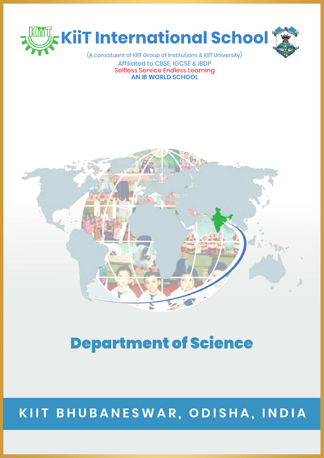

Affiliated to CBSE, IGCSE & IBDP Selfless Service Endless Learnina **AN IB WORLD SCHOOL** 



# **Department of Science**

#### KIIT BHUBANESWAR, ODISHA, INDIA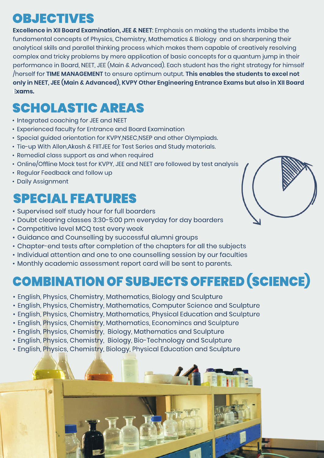#### OBJECTIVES

**Excellence in XII Board Examination, JEE & NEET:** Emphasis on making the students imbibe the fundamental concepts of Physics, Chemistry, Mathematics & Biology and on sharpening their analytical skills and parallel thinking process which makes them capable of creatively resolving complex and tricky problems by mere application of basic concepts for a quantum jump in their performance in Board, NEET, JEE (Main & Advanced). Each student has the right strategy for himself /herselffor**TIMEMANAGEMENT**toensureoptimum output.**Thisenablesthestudentstoexcelnot** only in NEET, JEE (Main & Advanced), KVPY Other Engineering Entrance Exams but also in XII Board **Exams.**

## **SCHOLASTIC AREAS**

- Integrated coaching for JEE and NEET
- Experienced faculty for Entrance and Board Examination
- Special guided orientation for KVPY,NSEC,NSEP and other Olympiads.
- Tie-up With Allen, Akash & FIITJEE for Test Series and Study materials.
- Remedial class support as and when required
- Online/Offline Mock test for KVPY, JEE and NEET are followed by test analysis
- Regular Feedback and follow up
- Daily Assignment

## **SPECIAL FEATURES**

- Supervised self study hour for full boarders
- Doubt clearing classes 3:30-5:00 pm everyday for day boarders
- Competitive level MCQ test every week
- Guidance and Counselling by successful alumni groups
- Chapter-end tests after completion of the chapters for all the subjects
- Individual attention and one to one counselling session by our faculties
- Monthly academic assessment report card will be sent to parents.

# COMBINATION OF SUBJECTS OFFERED (SCIENCE)

- English, Physics, Chemistry, Mathematics, Biology and Sculpture
- English, Physics, Chemistry, Mathematics, Computer Science and Sculpture
- English, Physics, Chemistry, Mathematics, Physical Education and Sculpture
- English, Physics, Chemistry, Mathematics, Economincs and Sculpture
- English, Physics, Chemistry, Biology, Mathematics and Sculpture
- English, Physics, Chemistry, Biology, Bio-Technology and Sculpture
- English, Physics, Chemistry, Biology, Physical Education and Sculpture



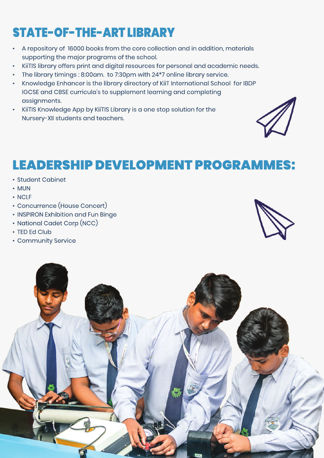## STATE-OF-THE-ARTLIBRARY

- A repository of 16000 books from the core collection and in addition, materials supporting the major programs of the school.
- KiiTIS library offers print and digital resources for personal and academic needs.
- The library timings: 8:00am. to 7:30pm with 24\*7 online library service.
- Knowledge Enhancer is the library directory of KiiT International School for IBDP IGCSE and CBSE curricula's to supplement learning and completing assignments.
- KiiTIS Knowledge App by KiiTIS Library is a one stop solution for the Nursery-XII students and teachers.



#### LEADERSHIP DEVELOPMENT PROGRAMMES:

- Student Cabinet
- •MUN
- NCLF
- Concurrence (House Concert)
- INSPIRON Exhibition and Fun Binge
- National Cadet Corp (NCC)
- TED Ed Club
- Community Service